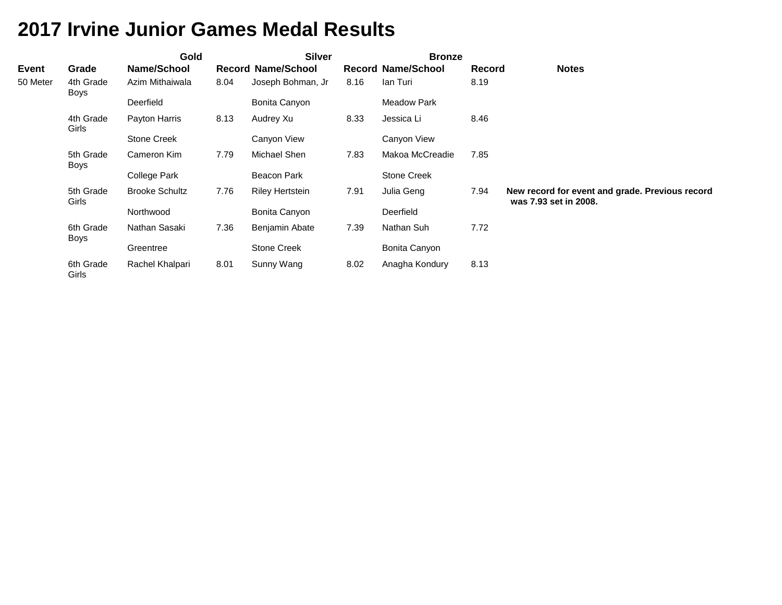|              |                    | Gold                  |      | <b>Silver</b>             |      | <b>Bronze</b>             |               |                                                                          |
|--------------|--------------------|-----------------------|------|---------------------------|------|---------------------------|---------------|--------------------------------------------------------------------------|
| <b>Event</b> | Grade              | Name/School           |      | <b>Record Name/School</b> |      | <b>Record Name/School</b> | <b>Record</b> | <b>Notes</b>                                                             |
| 50 Meter     | 4th Grade<br>Boys  | Azim Mithaiwala       | 8.04 | Joseph Bohman, Jr         | 8.16 | Ian Turi                  | 8.19          |                                                                          |
|              |                    | Deerfield             |      | Bonita Canyon             |      | <b>Meadow Park</b>        |               |                                                                          |
|              | 4th Grade<br>Girls | Payton Harris         | 8.13 | Audrey Xu                 | 8.33 | Jessica Li                | 8.46          |                                                                          |
|              |                    | <b>Stone Creek</b>    |      | Canyon View               |      | Canyon View               |               |                                                                          |
|              | 5th Grade<br>Boys  | Cameron Kim           | 7.79 | Michael Shen              | 7.83 | Makoa McCreadie           | 7.85          |                                                                          |
|              |                    | College Park          |      | Beacon Park               |      | <b>Stone Creek</b>        |               |                                                                          |
|              | 5th Grade<br>Girls | <b>Brooke Schultz</b> | 7.76 | <b>Riley Hertstein</b>    | 7.91 | Julia Geng                | 7.94          | New record for event and grade. Previous record<br>was 7.93 set in 2008. |
|              |                    | Northwood             |      | Bonita Canyon             |      | Deerfield                 |               |                                                                          |
|              | 6th Grade<br>Boys  | Nathan Sasaki         | 7.36 | Benjamin Abate            | 7.39 | Nathan Suh                | 7.72          |                                                                          |
|              |                    | Greentree             |      | <b>Stone Creek</b>        |      | Bonita Canyon             |               |                                                                          |
|              | 6th Grade<br>Girls | Rachel Khalpari       | 8.01 | Sunny Wang                | 8.02 | Anagha Kondury            | 8.13          |                                                                          |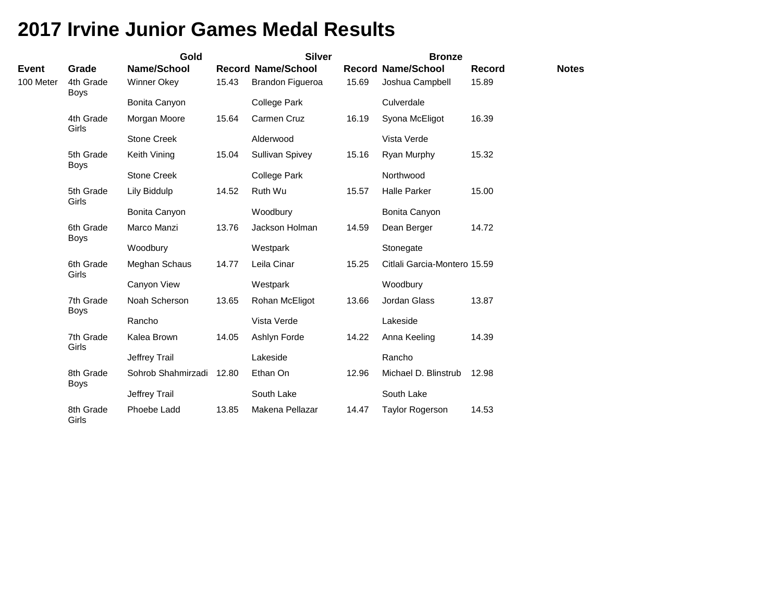|                    |                          | Gold                              |       | <b>Silver</b>             |       | <b>Bronze</b>                |                        |              |
|--------------------|--------------------------|-----------------------------------|-------|---------------------------|-------|------------------------------|------------------------|--------------|
| Event<br>100 Meter | Grade<br>4th Grade       | Name/School<br><b>Winner Okey</b> | 15.43 | <b>Record Name/School</b> | 15.69 | <b>Record Name/School</b>    | <b>Record</b><br>15.89 | <b>Notes</b> |
|                    | <b>Boys</b>              |                                   |       | Brandon Figueroa          |       | Joshua Campbell              |                        |              |
|                    |                          | Bonita Canyon                     |       | <b>College Park</b>       |       | Culverdale                   |                        |              |
|                    | 4th Grade<br>Girls       | Morgan Moore                      | 15.64 | Carmen Cruz               | 16.19 | Syona McEligot               | 16.39                  |              |
|                    |                          | <b>Stone Creek</b>                |       | Alderwood                 |       | Vista Verde                  |                        |              |
|                    | 5th Grade<br><b>Boys</b> | Keith Vining                      | 15.04 | Sullivan Spivey           | 15.16 | Ryan Murphy                  | 15.32                  |              |
|                    |                          | <b>Stone Creek</b>                |       | <b>College Park</b>       |       | Northwood                    |                        |              |
|                    | 5th Grade<br>Girls       | Lily Biddulp                      | 14.52 | Ruth Wu                   | 15.57 | <b>Halle Parker</b>          | 15.00                  |              |
|                    |                          | Bonita Canyon                     |       | Woodbury                  |       | Bonita Canyon                |                        |              |
|                    | 6th Grade<br><b>Boys</b> | Marco Manzi                       | 13.76 | Jackson Holman            | 14.59 | Dean Berger                  | 14.72                  |              |
|                    |                          | Woodbury                          |       | Westpark                  |       | Stonegate                    |                        |              |
|                    | 6th Grade<br>Girls       | Meghan Schaus                     | 14.77 | Leila Cinar               | 15.25 | Citlali Garcia-Montero 15.59 |                        |              |
|                    |                          | Canyon View                       |       | Westpark                  |       | Woodbury                     |                        |              |
|                    | 7th Grade<br><b>Boys</b> | Noah Scherson                     | 13.65 | Rohan McEligot            | 13.66 | Jordan Glass                 | 13.87                  |              |
|                    |                          | Rancho                            |       | Vista Verde               |       | Lakeside                     |                        |              |
|                    | 7th Grade<br>Girls       | Kalea Brown                       | 14.05 | Ashlyn Forde              | 14.22 | Anna Keeling                 | 14.39                  |              |
|                    |                          | Jeffrey Trail                     |       | Lakeside                  |       | Rancho                       |                        |              |
|                    | 8th Grade<br><b>Boys</b> | Sohrob Shahmirzadi                | 12.80 | Ethan On                  | 12.96 | Michael D. Blinstrub         | 12.98                  |              |
|                    |                          | Jeffrey Trail                     |       | South Lake                |       | South Lake                   |                        |              |
|                    | 8th Grade<br>Girls       | Phoebe Ladd                       | 13.85 | Makena Pellazar           | 14.47 | <b>Taylor Rogerson</b>       | 14.53                  |              |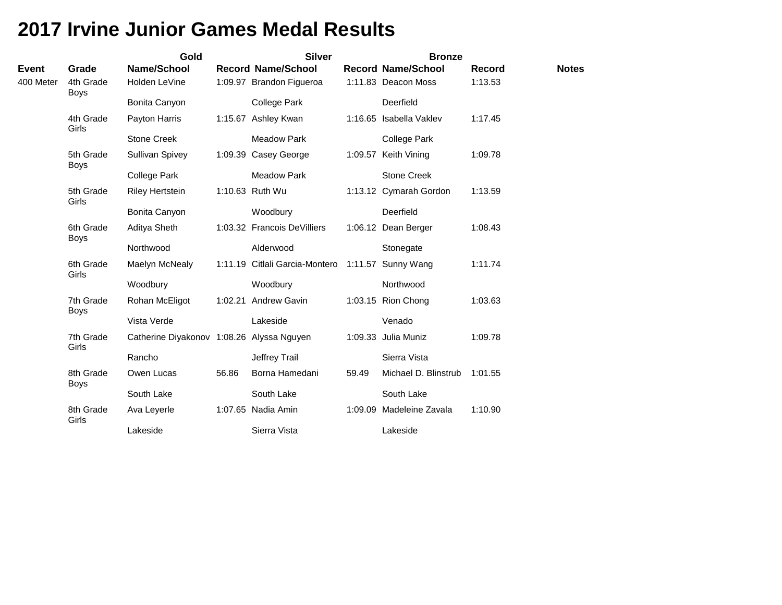|              |                          | Gold                                      |         | <b>Silver</b>                  |       | <b>Bronze</b>             |               |              |
|--------------|--------------------------|-------------------------------------------|---------|--------------------------------|-------|---------------------------|---------------|--------------|
| <b>Event</b> | Grade                    | Name/School                               |         | <b>Record Name/School</b>      |       | <b>Record Name/School</b> | <b>Record</b> | <b>Notes</b> |
| 400 Meter    | 4th Grade<br><b>Boys</b> | Holden LeVine                             |         | 1:09.97 Brandon Figueroa       |       | 1:11.83 Deacon Moss       | 1:13.53       |              |
|              |                          | Bonita Canyon                             |         | College Park                   |       | Deerfield                 |               |              |
|              | 4th Grade<br>Girls       | Payton Harris                             |         | 1:15.67 Ashley Kwan            |       | 1:16.65 Isabella Vaklev   | 1:17.45       |              |
|              |                          | <b>Stone Creek</b>                        |         | <b>Meadow Park</b>             |       | College Park              |               |              |
|              | 5th Grade<br><b>Boys</b> | Sullivan Spivey                           |         | 1:09.39 Casey George           |       | 1:09.57 Keith Vining      | 1:09.78       |              |
|              |                          | <b>College Park</b>                       |         | <b>Meadow Park</b>             |       | <b>Stone Creek</b>        |               |              |
|              | 5th Grade<br>Girls       | <b>Riley Hertstein</b>                    |         | 1:10.63 Ruth Wu                |       | 1:13.12 Cymarah Gordon    | 1:13.59       |              |
|              |                          | Bonita Canyon                             |         | Woodbury                       |       | Deerfield                 |               |              |
|              | 6th Grade<br><b>Boys</b> | Aditya Sheth                              |         | 1:03.32 Francois DeVilliers    |       | 1:06.12 Dean Berger       | 1:08.43       |              |
|              |                          | Northwood                                 |         | Alderwood                      |       | Stonegate                 |               |              |
|              | 6th Grade<br>Girls       | Maelyn McNealy                            |         | 1:11.19 Citlali Garcia-Montero |       | 1:11.57 Sunny Wang        | 1:11.74       |              |
|              |                          | Woodbury                                  |         | Woodbury                       |       | Northwood                 |               |              |
|              | 7th Grade<br><b>Boys</b> | Rohan McEligot                            | 1:02.21 | <b>Andrew Gavin</b>            |       | 1:03.15 Rion Chong        | 1:03.63       |              |
|              |                          | Vista Verde                               |         | Lakeside                       |       | Venado                    |               |              |
|              | 7th Grade<br>Girls       | Catherine Diyakonov 1:08.26 Alyssa Nguyen |         |                                |       | 1:09.33 Julia Muniz       | 1:09.78       |              |
|              |                          | Rancho                                    |         | Jeffrey Trail                  |       | Sierra Vista              |               |              |
|              | 8th Grade<br><b>Boys</b> | Owen Lucas                                | 56.86   | Borna Hamedani                 | 59.49 | Michael D. Blinstrub      | 1:01.55       |              |
|              |                          | South Lake                                |         | South Lake                     |       | South Lake                |               |              |
|              | 8th Grade<br>Girls       | Ava Leyerle                               |         | 1:07.65 Nadia Amin             |       | 1:09.09 Madeleine Zavala  | 1:10.90       |              |
|              |                          | Lakeside                                  |         | Sierra Vista                   |       | Lakeside                  |               |              |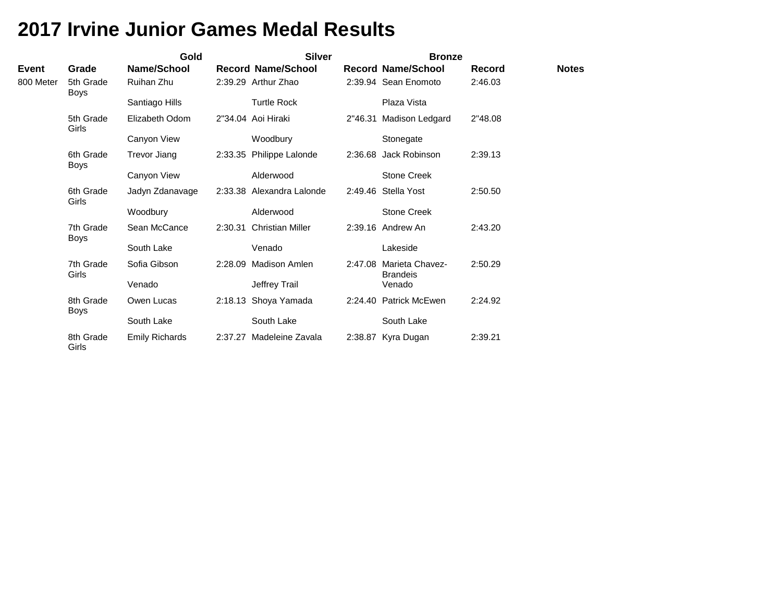|           |                          | Gold                  |         | <b>Silver</b>             | <b>Bronze</b>                              |         |              |
|-----------|--------------------------|-----------------------|---------|---------------------------|--------------------------------------------|---------|--------------|
| Event     | Grade                    | Name/School           |         | <b>Record Name/School</b> | <b>Record Name/School</b>                  | Record  | <b>Notes</b> |
| 800 Meter | 5th Grade<br><b>Boys</b> | Ruihan Zhu            |         | 2:39.29 Arthur Zhao       | 2:39.94 Sean Enomoto                       | 2:46.03 |              |
|           |                          | Santiago Hills        |         | <b>Turtle Rock</b>        | Plaza Vista                                |         |              |
|           | 5th Grade<br>Girls       | Elizabeth Odom        |         | 2"34.04 Aoi Hiraki        | 2"46.31 Madison Ledgard                    | 2"48.08 |              |
|           |                          | Canyon View           |         | Woodbury                  | Stonegate                                  |         |              |
|           | 6th Grade<br><b>Boys</b> | Trevor Jiang          |         | 2:33.35 Philippe Lalonde  | 2:36.68 Jack Robinson                      | 2:39.13 |              |
|           |                          | Canyon View           |         | Alderwood                 | <b>Stone Creek</b>                         |         |              |
|           | 6th Grade<br>Girls       | Jadyn Zdanavage       |         | 2:33.38 Alexandra Lalonde | 2:49.46 Stella Yost                        | 2:50.50 |              |
|           |                          | Woodbury              |         | Alderwood                 | <b>Stone Creek</b>                         |         |              |
|           | 7th Grade<br><b>Boys</b> | Sean McCance          | 2:30.31 | <b>Christian Miller</b>   | 2:39.16 Andrew An                          | 2:43.20 |              |
|           |                          | South Lake            |         | Venado                    | Lakeside                                   |         |              |
|           | 7th Grade<br>Girls       | Sofia Gibson          | 2:28.09 | Madison Amlen             | 2:47.08 Marieta Chavez-<br><b>Brandeis</b> | 2:50.29 |              |
|           |                          | Venado                |         | Jeffrey Trail             | Venado                                     |         |              |
|           | 8th Grade<br><b>Boys</b> | Owen Lucas            |         | 2:18.13 Shoya Yamada      | 2:24.40 Patrick McEwen                     | 2:24.92 |              |
|           |                          | South Lake            |         | South Lake                | South Lake                                 |         |              |
|           | 8th Grade<br>Girls       | <b>Emily Richards</b> | 2:37.27 | Madeleine Zavala          | 2:38.87 Kyra Dugan                         | 2:39.21 |              |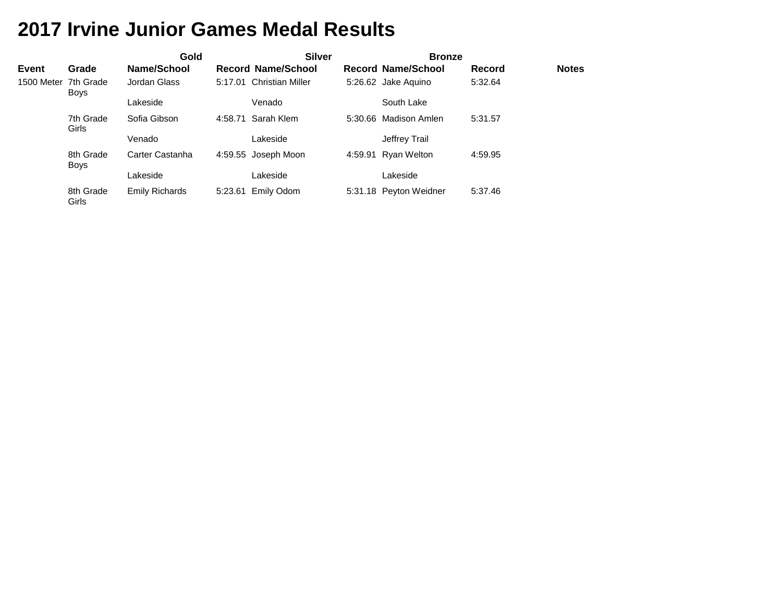|              |                                     | Gold                  |         | <b>Silver</b>             | <b>Bronze</b>             |         |              |
|--------------|-------------------------------------|-----------------------|---------|---------------------------|---------------------------|---------|--------------|
| <b>Event</b> | Grade                               | Name/School           |         | <b>Record Name/School</b> | <b>Record Name/School</b> | Record  | <b>Notes</b> |
|              | 1500 Meter 7th Grade<br><b>Boys</b> | Jordan Glass          |         | 5:17.01 Christian Miller  | 5:26.62 Jake Aquino       | 5:32.64 |              |
|              |                                     | Lakeside              |         | Venado                    | South Lake                |         |              |
|              | 7th Grade<br>Girls                  | Sofia Gibson          | 4:58.71 | Sarah Klem                | 5:30.66 Madison Amlen     | 5:31.57 |              |
|              |                                     | Venado                |         | Lakeside                  | Jeffrey Trail             |         |              |
|              | 8th Grade<br><b>Boys</b>            | Carter Castanha       |         | 4:59.55 Joseph Moon       | 4:59.91 Ryan Welton       | 4:59.95 |              |
|              |                                     | Lakeside              |         | Lakeside                  | Lakeside                  |         |              |
|              | 8th Grade<br>Girls                  | <b>Emily Richards</b> |         | 5:23.61 Emily Odom        | 5:31.18 Peyton Weidner    | 5:37.46 |              |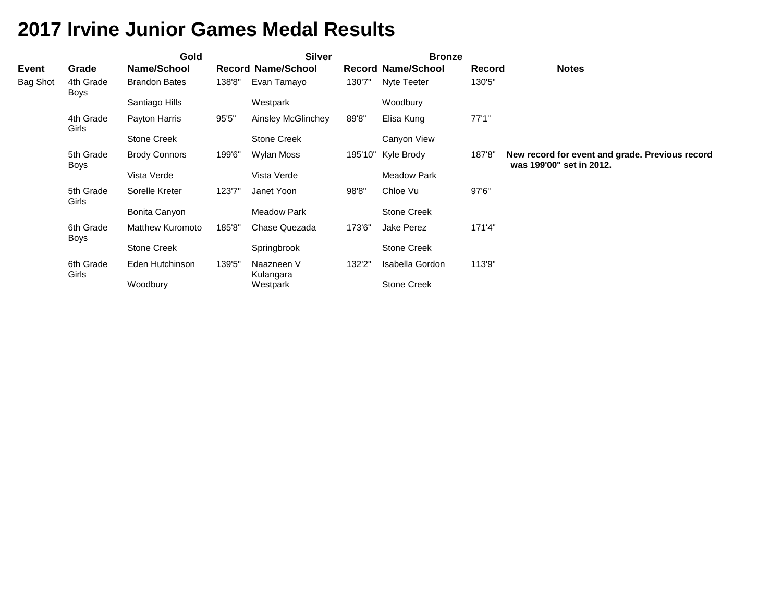|              |                          | Gold                    |        | <b>Silver</b>             |         | <b>Bronze</b>             |        |                                                                             |
|--------------|--------------------------|-------------------------|--------|---------------------------|---------|---------------------------|--------|-----------------------------------------------------------------------------|
| <b>Event</b> | Grade                    | Name/School             |        | <b>Record Name/School</b> |         | <b>Record Name/School</b> | Record | <b>Notes</b>                                                                |
| Bag Shot     | 4th Grade<br>Boys        | <b>Brandon Bates</b>    | 138'8" | Evan Tamayo               | 130'7"  | Nyte Teeter               | 130'5" |                                                                             |
|              |                          | Santiago Hills          |        | Westpark                  |         | Woodbury                  |        |                                                                             |
|              | 4th Grade<br>Girls       | Payton Harris           | 95'5"  | Ainsley McGlinchey        | 89'8"   | Elisa Kung                | 77'1"  |                                                                             |
|              |                          | <b>Stone Creek</b>      |        | <b>Stone Creek</b>        |         | Canyon View               |        |                                                                             |
|              | 5th Grade<br><b>Boys</b> | <b>Brody Connors</b>    | 199'6" | Wylan Moss                | 195'10" | Kyle Brody                | 187'8" | New record for event and grade. Previous record<br>was 199'00" set in 2012. |
|              |                          | Vista Verde             |        | Vista Verde               |         | Meadow Park               |        |                                                                             |
|              | 5th Grade<br>Girls       | Sorelle Kreter          | 123'7" | Janet Yoon                | 98'8"   | Chloe Vu                  | 97'6"  |                                                                             |
|              |                          | Bonita Canyon           |        | <b>Meadow Park</b>        |         | Stone Creek               |        |                                                                             |
|              | 6th Grade<br>Boys        | <b>Matthew Kuromoto</b> | 185'8" | Chase Quezada             | 173'6"  | Jake Perez                | 171'4" |                                                                             |
|              |                          | <b>Stone Creek</b>      |        | Springbrook               |         | Stone Creek               |        |                                                                             |
|              | 6th Grade<br>Girls       | Eden Hutchinson         | 139'5" | Naazneen V<br>Kulangara   | 132'2"  | Isabella Gordon           | 113'9" |                                                                             |
|              |                          | Woodbury                |        | Westpark                  |         | <b>Stone Creek</b>        |        |                                                                             |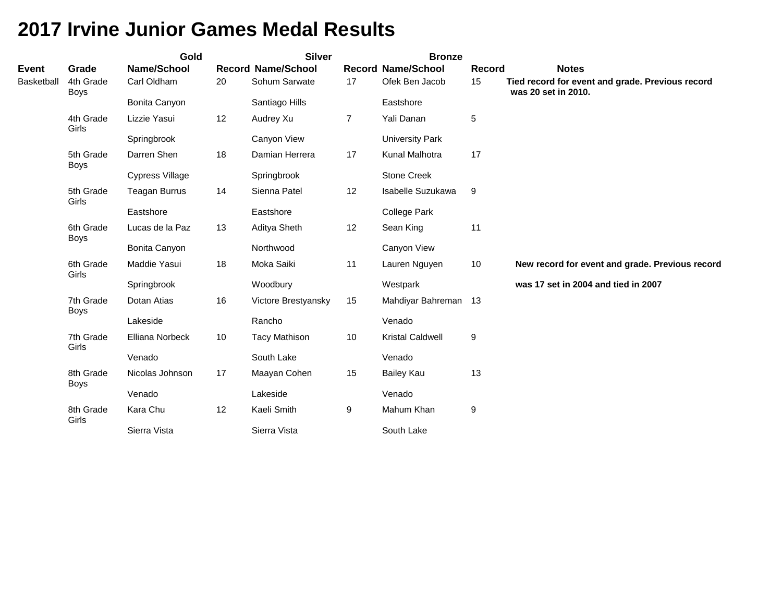|                   |                          | Gold                   |    | <b>Silver</b>             |                | <b>Bronze</b>             |                  |                                                                         |
|-------------------|--------------------------|------------------------|----|---------------------------|----------------|---------------------------|------------------|-------------------------------------------------------------------------|
| <b>Event</b>      | Grade                    | Name/School            |    | <b>Record Name/School</b> |                | <b>Record Name/School</b> | Record           | <b>Notes</b>                                                            |
| <b>Basketball</b> | 4th Grade<br><b>Boys</b> | Carl Oldham            | 20 | Sohum Sarwate             | 17             | Ofek Ben Jacob            | 15               | Tied record for event and grade. Previous record<br>was 20 set in 2010. |
|                   |                          | Bonita Canyon          |    | Santiago Hills            |                | Eastshore                 |                  |                                                                         |
|                   | 4th Grade<br>Girls       | Lizzie Yasui           | 12 | Audrey Xu                 | $\overline{7}$ | Yali Danan                | $\sqrt{5}$       |                                                                         |
|                   |                          | Springbrook            |    | Canyon View               |                | University Park           |                  |                                                                         |
|                   | 5th Grade<br><b>Boys</b> | Darren Shen            | 18 | Damian Herrera            | 17             | Kunal Malhotra            | 17               |                                                                         |
|                   |                          | <b>Cypress Village</b> |    | Springbrook               |                | <b>Stone Creek</b>        |                  |                                                                         |
|                   | 5th Grade<br>Girls       | <b>Teagan Burrus</b>   | 14 | Sienna Patel              | 12             | Isabelle Suzukawa         | $9\,$            |                                                                         |
|                   |                          | Eastshore              |    | Eastshore                 |                | <b>College Park</b>       |                  |                                                                         |
|                   | 6th Grade<br><b>Boys</b> | Lucas de la Paz        | 13 | Aditya Sheth              | 12             | Sean King                 | 11               |                                                                         |
|                   |                          | Bonita Canyon          |    | Northwood                 |                | Canyon View               |                  |                                                                         |
|                   | 6th Grade<br>Girls       | Maddie Yasui           | 18 | Moka Saiki                | 11             | Lauren Nguyen             | 10               | New record for event and grade. Previous record                         |
|                   |                          | Springbrook            |    | Woodbury                  |                | Westpark                  |                  | was 17 set in 2004 and tied in 2007                                     |
|                   | 7th Grade<br><b>Boys</b> | Dotan Atias            | 16 | Victore Brestyansky       | 15             | Mahdiyar Bahreman 13      |                  |                                                                         |
|                   |                          | Lakeside               |    | Rancho                    |                | Venado                    |                  |                                                                         |
|                   | 7th Grade<br>Girls       | Elliana Norbeck        | 10 | <b>Tacy Mathison</b>      | 10             | <b>Kristal Caldwell</b>   | $\boldsymbol{9}$ |                                                                         |
|                   |                          | Venado                 |    | South Lake                |                | Venado                    |                  |                                                                         |
|                   | 8th Grade<br><b>Boys</b> | Nicolas Johnson        | 17 | Maayan Cohen              | 15             | Bailey Kau                | 13               |                                                                         |
|                   |                          | Venado                 |    | Lakeside                  |                | Venado                    |                  |                                                                         |
|                   | 8th Grade<br>Girls       | Kara Chu               | 12 | Kaeli Smith               | 9              | Mahum Khan                | 9                |                                                                         |
|                   |                          | Sierra Vista           |    | Sierra Vista              |                | South Lake                |                  |                                                                         |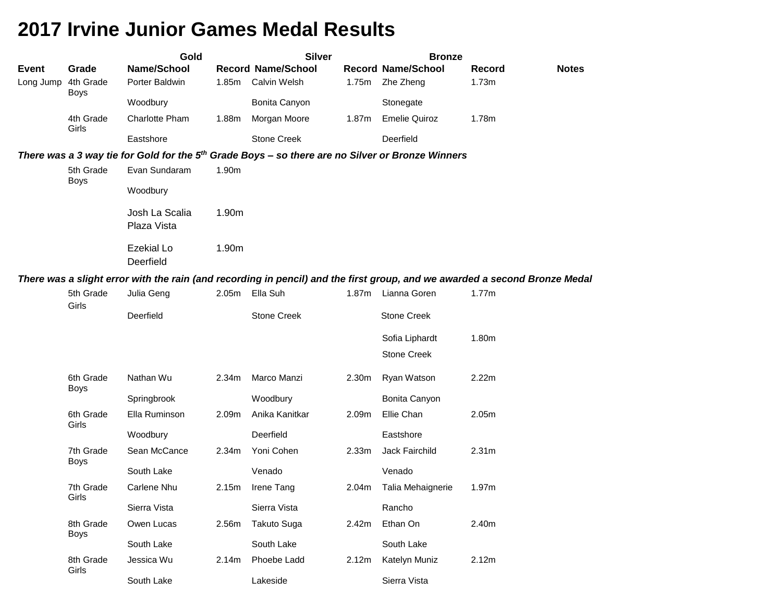|              |                          | Gold                                                                                                                       |       | <b>Silver</b>             |                   | <b>Bronze</b>             |                   |              |
|--------------|--------------------------|----------------------------------------------------------------------------------------------------------------------------|-------|---------------------------|-------------------|---------------------------|-------------------|--------------|
| <b>Event</b> | Grade                    | Name/School                                                                                                                |       | <b>Record Name/School</b> |                   | <b>Record Name/School</b> | <b>Record</b>     | <b>Notes</b> |
| Long Jump    | 4th Grade<br><b>Boys</b> | Porter Baldwin                                                                                                             | 1.85m | <b>Calvin Welsh</b>       | 1.75m             | Zhe Zheng                 | 1.73m             |              |
|              |                          | Woodbury                                                                                                                   |       | Bonita Canyon             |                   | Stonegate                 |                   |              |
|              | 4th Grade<br>Girls       | Charlotte Pham                                                                                                             | 1.88m | Morgan Moore              | 1.87m             | <b>Emelie Quiroz</b>      | 1.78m             |              |
|              |                          | Eastshore                                                                                                                  |       | <b>Stone Creek</b>        |                   | Deerfield                 |                   |              |
|              |                          | There was a 3 way tie for Gold for the 5 <sup>th</sup> Grade Boys - so there are no Silver or Bronze Winners               |       |                           |                   |                           |                   |              |
|              | 5th Grade<br><b>Boys</b> | Evan Sundaram                                                                                                              | 1.90m |                           |                   |                           |                   |              |
|              |                          | Woodbury                                                                                                                   |       |                           |                   |                           |                   |              |
|              |                          | Josh La Scalia<br>Plaza Vista                                                                                              | 1.90m |                           |                   |                           |                   |              |
|              |                          | <b>Ezekial Lo</b><br>Deerfield                                                                                             | 1.90m |                           |                   |                           |                   |              |
|              |                          | There was a slight error with the rain (and recording in pencil) and the first group, and we awarded a second Bronze Medal |       |                           |                   |                           |                   |              |
|              | 5th Grade<br>Girls       | Julia Geng                                                                                                                 | 2.05m | Ella Suh                  | 1.87 <sub>m</sub> | Lianna Goren              | 1.77m             |              |
|              |                          | Deerfield                                                                                                                  |       | <b>Stone Creek</b>        |                   | <b>Stone Creek</b>        |                   |              |
|              |                          |                                                                                                                            |       |                           |                   | Sofia Liphardt            | 1.80m             |              |
|              |                          |                                                                                                                            |       |                           |                   | <b>Stone Creek</b>        |                   |              |
|              | 6th Grade<br><b>Boys</b> | Nathan Wu                                                                                                                  | 2.34m | Marco Manzi               | 2.30m             | Ryan Watson               | 2.22m             |              |
|              |                          | Springbrook                                                                                                                |       | Woodbury                  |                   | Bonita Canyon             |                   |              |
|              | 6th Grade<br>Girls       | Ella Ruminson                                                                                                              | 2.09m | Anika Kanitkar            | 2.09m             | Ellie Chan                | 2.05m             |              |
|              |                          | Woodbury                                                                                                                   |       | Deerfield                 |                   | Eastshore                 |                   |              |
|              | 7th Grade<br><b>Boys</b> | Sean McCance                                                                                                               | 2.34m | Yoni Cohen                | 2.33m             | Jack Fairchild            | 2.31 <sub>m</sub> |              |
|              |                          | South Lake                                                                                                                 |       | Venado                    |                   | Venado                    |                   |              |
|              | 7th Grade<br>Girls       | <b>Carlene Nhu</b>                                                                                                         | 2.15m | Irene Tang                | 2.04m             | Talia Mehaignerie         | 1.97m             |              |
|              |                          | Sierra Vista                                                                                                               |       | Sierra Vista              |                   | Rancho                    |                   |              |
|              | 8th Grade                | Owen Lucas                                                                                                                 | 2.56m | <b>Takuto Suga</b>        | 2.42m             | Ethan On                  | 2.40m             |              |
|              | <b>Boys</b>              | South Lake                                                                                                                 |       | South Lake                |                   | South Lake                |                   |              |
|              | 8th Grade<br>Girls       | Jessica Wu                                                                                                                 | 2.14m | Phoebe Ladd               | 2.12m             | Katelyn Muniz             | 2.12m             |              |
|              |                          | South Lake                                                                                                                 |       | Lakeside                  |                   | Sierra Vista              |                   |              |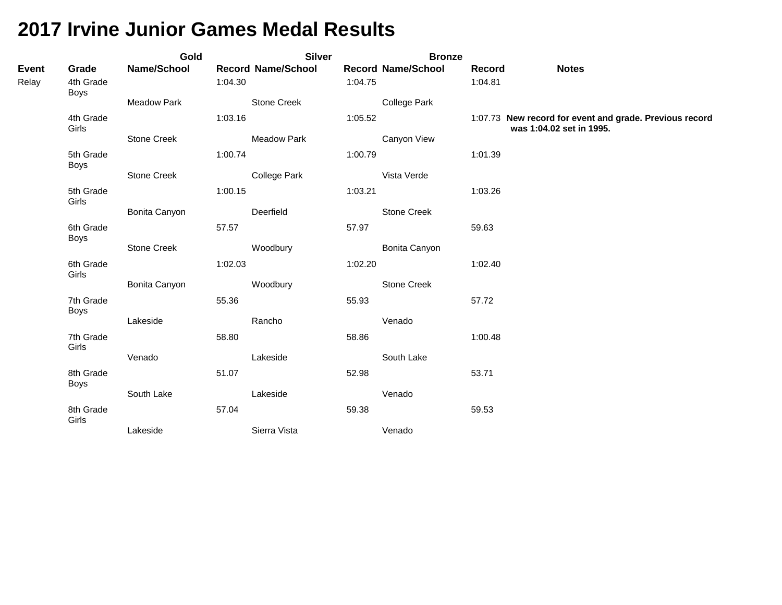|                       |                            | Gold          |         | <b>Silver</b>             |         | <b>Bronze</b>             |                   |                                                                                     |
|-----------------------|----------------------------|---------------|---------|---------------------------|---------|---------------------------|-------------------|-------------------------------------------------------------------------------------|
| <b>Event</b><br>Relay | Grade<br>4th Grade<br>Boys | Name/School   | 1:04.30 | <b>Record Name/School</b> | 1:04.75 | <b>Record Name/School</b> | Record<br>1:04.81 | <b>Notes</b>                                                                        |
|                       |                            | Meadow Park   |         | Stone Creek               |         | <b>College Park</b>       |                   |                                                                                     |
|                       | 4th Grade<br>Girls         |               | 1:03.16 |                           | 1:05.52 |                           |                   | 1:07.73 New record for event and grade. Previous record<br>was 1:04.02 set in 1995. |
|                       |                            | Stone Creek   |         | <b>Meadow Park</b>        |         | Canyon View               |                   |                                                                                     |
|                       | 5th Grade<br><b>Boys</b>   |               | 1:00.74 |                           | 1:00.79 |                           | 1:01.39           |                                                                                     |
|                       |                            | Stone Creek   |         | College Park              |         | Vista Verde               |                   |                                                                                     |
|                       | 5th Grade<br>Girls         |               | 1:00.15 |                           | 1:03.21 |                           | 1:03.26           |                                                                                     |
|                       |                            | Bonita Canyon |         | Deerfield                 |         | <b>Stone Creek</b>        |                   |                                                                                     |
|                       | 6th Grade<br><b>Boys</b>   |               | 57.57   |                           | 57.97   |                           | 59.63             |                                                                                     |
|                       |                            | Stone Creek   |         | Woodbury                  |         | Bonita Canyon             |                   |                                                                                     |
|                       | 6th Grade<br>Girls         |               | 1:02.03 |                           | 1:02.20 |                           | 1:02.40           |                                                                                     |
|                       |                            | Bonita Canyon |         | Woodbury                  |         | Stone Creek               |                   |                                                                                     |
|                       | 7th Grade<br>Boys          |               | 55.36   |                           | 55.93   |                           | 57.72             |                                                                                     |
|                       |                            | Lakeside      |         | Rancho                    |         | Venado                    |                   |                                                                                     |
|                       | 7th Grade<br>Girls         |               | 58.80   |                           | 58.86   |                           | 1:00.48           |                                                                                     |
|                       |                            | Venado        |         | Lakeside                  |         | South Lake                |                   |                                                                                     |
|                       | 8th Grade<br>Boys          |               | 51.07   |                           | 52.98   |                           | 53.71             |                                                                                     |
|                       |                            | South Lake    |         | Lakeside                  |         | Venado                    |                   |                                                                                     |
|                       | 8th Grade<br>Girls         |               | 57.04   |                           | 59.38   |                           | 59.53             |                                                                                     |
|                       |                            | Lakeside      |         | Sierra Vista              |         | Venado                    |                   |                                                                                     |